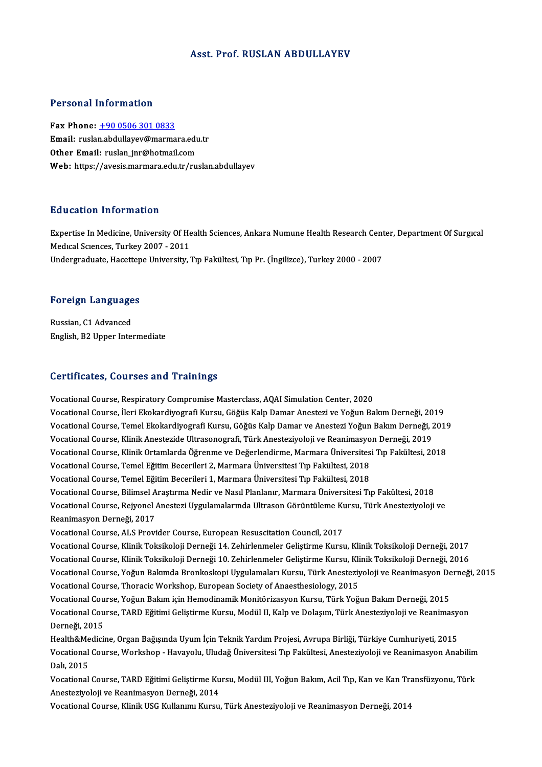### Asst. Prof. RUSLAN ABDULLAYEV

### Personal Information

Fax Phone: +90 0506 301 0833 Fersonal Information<br>Fax Phone: <u>+90 0506 301 0833</u><br>Email: ruslan.abdullayev@marmara.edu.tr Fax Phone: <u>+90 0506 301 0833</u><br>Email: ruslan.abdullayev@marmara.edu<br>Other Email: ruslan\_jnr@hotmail.com Other Email: ruslan\_jnr@hotmail.com<br>Web: https://avesis.marmara.edu.tr/ruslan.abdullayev

## Education Information

E**ducation Information**<br>Expertise In Medicine, University Of Health Sciences, Ankara Numune Health Research Center, Department Of Surgıcal<br>Medisel Sampees, Turkey 2007 - 2011 Expertise In Medicine, University Of He<br>Medical Sciences, Turkey 2007 - 2011<br>Undergraduate Hesettene University Expertise In Medicine, University Of Health Sciences, Ankara Numune Health Research Cent<br>Medıcal Sciences, Turkey 2007 - 2011<br>Undergraduate, Hacettepe University, Tıp Fakültesi, Tıp Pr. (İngilizce), Turkey 2000 - 2007

# <sub>ondergraduate, nacettep</sub><br>Foreign Languages

**Foreign Language<br>Russian, C1 Advanced<br>English P3 Unner Inter** Russian, C1 Advanced<br>English, B2 Upper Intermediate

### Certificates, Courses and Trainings

Vocational Course, Respiratory Compromise Masterclass, AQAI Simulation Center, 2020 Vocational Course, Respiratory Compromise Masterclass, AQAI Simulation Center, 2020<br>Vocational Course, İleri Ekokardiyografi Kursu, Göğüs Kalp Damar Anestezi ve Yoğun Bakım Derneği, 2019<br>Vocational Course, İleri Ekokardiyo Vocational Course, Respiratory Compromise Masterclass, AQAI Simulation Center, 2020<br>Vocational Course, İleri Ekokardiyografi Kursu, Göğüs Kalp Damar Anestezi ve Yoğun Bakım Derneği, 2019<br>Vocational Course, Temel Ekokardiyo Vocational Course, İleri Ekokardiyografi Kursu, Göğüs Kalp Damar Anestezi ve Yoğun Bakım Derneği, 20<br>Vocational Course, Temel Ekokardiyografi Kursu, Göğüs Kalp Damar ve Anestezi Yoğun Bakım Derneği, 2<br>Vocational Course, Kl Vocational Course, Temel Ekokardiyografi Kursu, Göğüs Kalp Damar ve Anestezi Yoğun Bakım Derneği, 2019<br>Vocational Course, Klinik Anestezide Ultrasonografi, Türk Anesteziyoloji ve Reanimasyon Derneği, 2019<br>Vocational Course Vocational Course, Klinik Anestezide Ultrasonografi, Türk Anesteziyoloji ve Reanimasyo<br>Vocational Course, Klinik Ortamlarda Öğrenme ve Değerlendirme, Marmara Üniversites<br>Vocational Course, Temel Eğitim Becerileri 2, Marmar Vocational Course, Klinik Ortamlarda Öğrenme ve Değerlendirme, Marmara Üniversites<br>Vocational Course, Temel Eğitim Becerileri 2, Marmara Üniversitesi Tıp Fakültesi, 2018<br>Vocational Course, Temel Eğitim Becerileri 1, Marmar Vocational Course, Temel Eğitim Becerileri 2, Marmara Üniversitesi Tıp Fakültesi, 2018<br>Vocational Course, Temel Eğitim Becerileri 1, Marmara Üniversitesi Tıp Fakültesi, 2018<br>Vocational Course, Bilimsel Araştırma Nedir ve N Vocational Course, Temel Eğitim Becerileri 1, Marmara Üniversitesi Tıp Fakültesi, 2018<br>Vocational Course, Bilimsel Araştırma Nedir ve Nasıl Planlanır, Marmara Üniversitesi Tıp Fakültesi, 2018<br>Vocational Course, Rejyonel An Vocational Course, Bilimsel A<br>Vocational Course, Rejyonel *I*<br>Reanimasyon Derneği, 2017<br>Vocational Course, AJ S Provi Vocational Course, Rejyonel Anestezi Uygulamalarında Ultrason Görüntüleme Kursu, Türk Anesteziyoloji ve<br>Reanimasyon Derneği, 2017<br>Vocational Course, ALS Provider Course, European Resuscitation Council, 2017 Reanimasyon Derneği, 2017<br>Vocational Course, ALS Provider Course, European Resuscitation Council, 2017<br>Vocational Course, Klinik Toksikoloji Derneği 14. Zehirlenmeler Geliştirme Kursu, Klinik Toksikoloji Derneği, 2017 Vocational Course, ALS Provider Course, European Resuscitation Council, 2017<br>Vocational Course, Klinik Toksikoloji Derneği 14. Zehirlenmeler Geliştirme Kursu, Klinik Toksikoloji Derneği, 2017<br>Vocational Course, Klinik Toks Vocational Course, Klinik Toksikoloji Derneği 14. Zehirlenmeler Geliştirme Kursu, Klinik Toksikoloji Derneği, 2017<br>Vocational Course, Klinik Toksikoloji Derneği 10. Zehirlenmeler Geliştirme Kursu, Klinik Toksikoloji Derneğ Vocational Course, Klinik Toksikoloji Derneği 10. Zehirlenmeler Geliştirme Kursu, Kli<br>Vocational Course, Yoğun Bakımda Bronkoskopi Uygulamaları Kursu, Türk Anesteziy<br>Vocational Course, Thoracic Workshop, European Society o Vocational Course, Yoğun Bakımda Bronkoskopi Uygulamaları Kursu, Türk Anesteziyoloji ve Reanimasyon De<br>Vocational Course, Thoracic Workshop, European Society of Anaesthesiology, 2015<br>Vocational Course, Yoğun Bakım için Hem Vocational Course, Thoracic Workshop, European Society of Anaesthesiology, 2015<br>Vocational Course, Yoğun Bakım için Hemodinamik Monitörizasyon Kursu, Türk Yoğun Bakım Derneği, 2015<br>Vocational Course, TARD Eğitimi Geliştirm Vocational Cou<br>Vocational Cou<br>Derneği, 2015<br>Hoalth &Medici Vocational Course, TARD Eğitimi Geliştirme Kursu, Modül II, Kalp ve Dolaşım, Türk Anesteziyoloji ve Reanimasy<br>Derneği, 2015<br>Health&Medicine, Organ Bağışında Uyum İçin Teknik Yardım Projesi, Avrupa Birliği, Türkiye Cumhuriy Derneği, 2015<br>Health&Medicine, Organ Bağışında Uyum İçin Teknik Yardım Projesi, Avrupa Birliği, Türkiye Cumhuriyeti, 2015<br>Vocational Course, Workshop - Havayolu, Uludağ Üniversitesi Tıp Fakültesi, Anesteziyoloji ve Reanima Health&Me<br>Vocational<br>Dalı, 2015<br>Vecational Vocational Course, Workshop - Havayolu, Uludağ Üniversitesi Tıp Fakültesi, Anesteziyoloji ve Reanimasyon Anabilim<br>Dalı, 2015<br>Vocational Course, TARD Eğitimi Geliştirme Kursu, Modül III, Yoğun Bakım, Acil Tıp, Kan ve Kan Tr Dalı, 2015<br>Vocational Course, TARD Eğitimi Geliştirme Ku<br>Anesteziyoloji ve Reanimasyon Derneği, 2014<br>Vocational Course, Klinik USC Kullanımı Kursu Vocational Course, TARD Eğitimi Geliştirme Kursu, Modül III, Yoğun Bakım, Acil Tıp, Kan ve Kan Tr.<br>Anesteziyoloji ve Reanimasyon Derneği, 2014<br>Vocational Course, Klinik USG Kullanımı Kursu, Türk Anesteziyoloji ve Reanimasy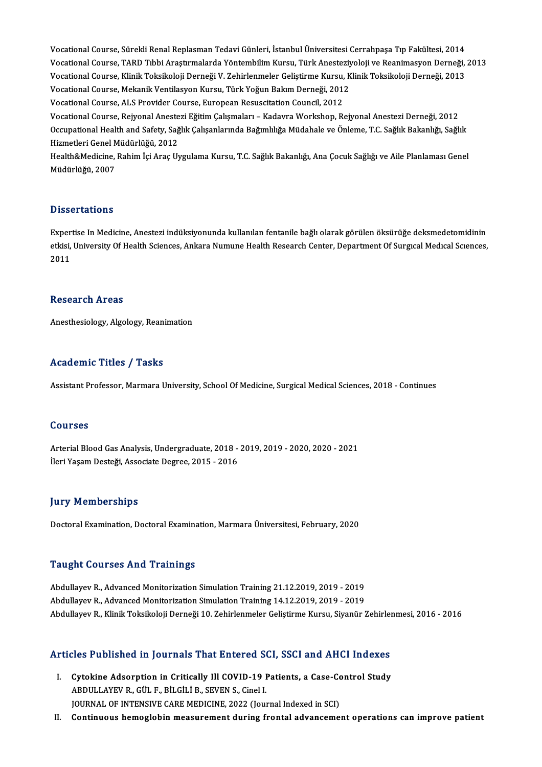Vocational Course, Sürekli Renal Replasman Tedavi Günleri, İstanbul Üniversitesi Cerrahpaşa Tıp Fakültesi, 2014<br>Voqational Course, Sürekli Renal Replasman Tedavi Günleri, İstanbul Üniversitesi Cerrahpaşa Tıp Fakültesi, 201 Vocational Course, Sürekli Renal Replasman Tedavi Günleri, İstanbul Üniversitesi Cerrahpaşa Tıp Fakültesi, 2014<br>Vocational Course, TARD Tıbbi Araştırmalarda Yöntembilim Kursu, Türk Anesteziyoloji ve Reanimasyon Derneği, 20 Vocational Course, Sürekli Renal Replasman Tedavi Günleri, İstanbul Üniversitesi Cerrahpaşa Tıp Fakültesi, 2014<br>Vocational Course, TARD Tıbbi Araştırmalarda Yöntembilim Kursu, Türk Anesteziyoloji ve Reanimasyon Derneği,<br>Vo Vocational Course, TARD Tıbbi Araştırmalarda Yöntembilim Kursu, Türk Anesteziyoloji ve Reanimasyon Derneği, 2013<br>Vocational Course, Klinik Toksikoloji Derneği V. Zehirlenmeler Geliştirme Kursu, Klinik Toksikoloji Derneği, Vocational Course, Mekanik Ventilasyon Kursu, Türk Yoğun Bakım Derneği, 2012

Vocational Course, Rejyonal Anestezi Eğitim Çalışmaları – Kadavra Workshop, Rejyonal Anestezi Derneği, 2012 Vocational Course, ALS Provider Course, European Resuscitation Council, 2012<br>Vocational Course, Rejyonal Anestezi Eğitim Çalışmaları – Kadavra Workshop, Rejyonal Anestezi Derneği, 2012<br>Occupational Health and Safety, Sağlı Vocational Course, Rejyonal Aneste<br>Occupational Health and Safety, Sağ<br>Hizmetleri Genel Müdürlüğü, 2012<br>Health&Medisine, Babim İsi Anas II. Occupational Health and Safety, Sağlık Çalışanlarında Bağımlılığa Müdahale ve Önleme, T.C. Sağlık Bakanlığı, Sağlık<br>Hizmetleri Genel Müdürlüğü, 2012<br>Health&Medicine, Rahim İçi Araç Uygulama Kursu, T.C. Sağlık Bakanlığı, An

Hizmetleri Genel M<br>Health&Medicine,<br>Müdürlüğü, 2007 Müdürlüğü, 2007<br>Dissertations

Dissertations<br>Expertise In Medicine, Anestezi indüksiyonunda kullanılan fentanile bağlı olarak görülen öksürüğe deksmedetomidinin<br>etkişi University Of Heelth Ssienses, Ankara Numuna Heelth Bessarsh Cantar, Department Of Su etkisi, University Of Health Sciences, Ankara Numune Health Research Center, Department Of Surgıcal Medıcal Sciences,<br>2011 Exper<br>etkisi,<br>2011

### Research Areas

Anesthesiology, Algology, Reanimation

## Academic Titles / Tasks

Assistant Professor, Marmara University, School Of Medicine, Surgical Medical Sciences, 2018 - Continues

### Courses

Courses<br>Arterial Blood Gas Analysis, Undergraduate, 2018 - 2019, 2019 - 2020, 2020 - 2021<br><sup>Hori Vocam Desteči, Assesiste Degree, 2015 - 2016</sup> JOUTSCS<br>Arterial Blood Gas Analysis, Undergraduate, 2018 -<br>İleri Yaşam Desteği, Associate Degree, 2015 - 2016 İleri Yaşam Desteği, Associate Degree, 2015 - 2016<br>Jury Memberships

DoctoralExamination,DoctoralExamination,MarmaraÜniversitesi,February,2020

### Taught Courses And Trainings

Abdullayev R., Advanced Monitorization Simulation Training 21.12.2019, 2019 - 2019 Abdullayev R., Advanced Monitorization Simulation Training 14.12.2019, 2019 - 2019 AbdulayevR.,KlinikToksikolojiDerneği10.ZehirlenmelerGeliştirmeKursu,Siyanür Zehirlenmesi,2016 -2016

# Abdunayev K., Kinik Toksikoloji Dernegi 10. zehirienmeler Geliştirme Kursu, Siyanur zehirler<br>Articles Published in Journals That Entered SCI, SSCI and AHCI Indexes

- rticles Published in Journals That Entered SCI, SSCI and AHCI Indexes<br>I. Cytokine Adsorption in Critically Ill COVID-19 Patients, a Case-Control Study<br>APDULLAYEV B. CÜLE RILCULE SEVENS, Ginel L I. Cytokine Adsorption in Critically Ill COVID-19 Patients, a Case-Control Study<br>ABDULLAYEV R., GÜL F., BİLGİLİ B., SEVEN S., Cinel I. JOURNAL OF INTENSIVE CARE MEDICINE, 2022 (Journal Indexed in SCI)
- II. Continuous hemoglobin measurement during frontal advancement operations can improve patient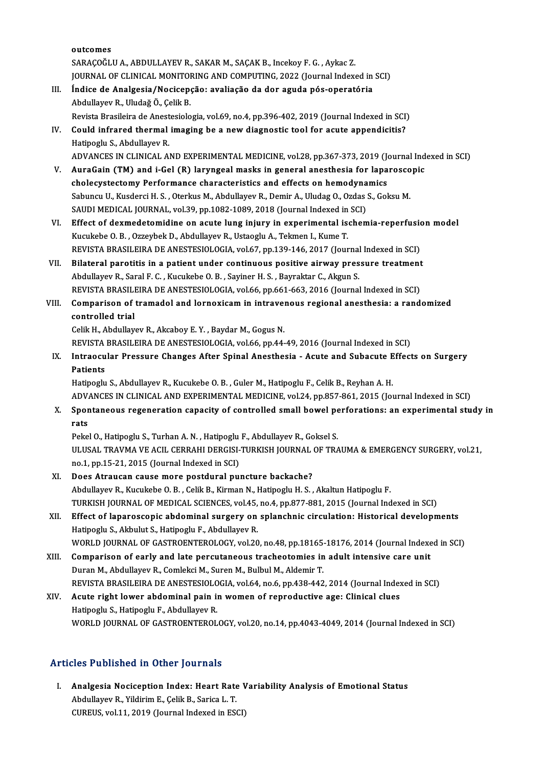outcomes SARAÇOĞLU A., ABDULLAYEV R., SAKAR M., SAÇAK B., Incekoy F. G. , Aykac Z. JOURNAL OF CLINICAL MONITORING AND COMPUTING, 2022 (Journal Indexed in SCI) SARAÇOĞLU A., ABDULLAYEV R., SAKAR M., SAÇAK B., Incekoy F. G. , Aykac Z.<br>JOURNAL OF CLINICAL MONITORING AND COMPUTING, 2022 (Journal Indexed in<br>III. Índice de Analgesia/Nocicepção: avaliação da dor aguda pós-operatóri

## JOURNAL OF CLINICAL MONITOI<br>Índice de Analgesia/Nocicep<br>Abdullayev R., Uludağ Ö., Çelik B.<br>Bovista Brasileira de Anastasiale Índice de Analgesia/Nocicepção: avaliação da dor aguda pós-operatória<br>Abdullayev R., Uludağ Ö., Çelik B.<br>Revista Brasileira de Anestesiologia, vol.69, no.4, pp.396-402, 2019 (Journal Indexed in SCI)<br>Could infrared thermal

- Abdullayev R., Uludağ Ö., Çelik B.<br>Revista Brasileira de Anestesiologia, vol.69, no.4, pp.396-402, 2019 (Journal Indexed in SCI)<br>IV. Could infrared thermal imaging be a new diagnostic tool for acute appendicitis?<br>Hatinggly Revista Brasileira de Anest<br>Could infrared thermal<br>Hatipoglu S., Abdullayev R.<br>ADVANCES IN CLINICAL A Hatipoglu S., Abdullayev R.<br>ADVANCES IN CLINICAL AND EXPERIMENTAL MEDICINE, vol.28, pp.367-373, 2019 (Journal Indexed in SCI) Hatipoglu S., Abdullayev R.<br>ADVANCES IN CLINICAL AND EXPERIMENTAL MEDICINE, vol.28, pp.367-373, 2019 (Journal Ind<br>V. AuraGain (TM) and i-Gel (R) laryngeal masks in general anesthesia for laparoscopic<br>chalogystastamy Porfor
- ADVANCES IN CLINICAL AND EXPERIMENTAL MEDICINE, vol.28, pp.367-373, 2019 (Journal Castle of Lamenta Castle and A<br>AuraGain (TM) and i-Gel (R) laryngeal masks in general anesthesia for lapa<br>cholecystectomy Performance charac AuraGain (TM) and i-Gel (R) laryngeal masks in general anesthesia for laparosco<br>cholecystectomy Performance characteristics and effects on hemodynamics<br>Sabuncu U., Kusderci H. S., Oterkus M., Abdullayev R., Demir A., Uluda cholecystectomy Performance characteristics and effects on hemodynamics<br>Sabuncu U., Kusderci H. S. , Oterkus M., Abdullayev R., Demir A., Uludag O., Ozdas S., Goksu M.<br>SAUDI MEDICAL JOURNAL, vol.39, pp.1082-1089, 2018 (Jou Sabuncu U., Kusderci H. S. , Oterkus M., Abdullayev R., Demir A., Uludag O., Ozdas S., Goksu M.<br>SAUDI MEDICAL JOURNAL, vol.39, pp.1082-1089, 2018 (Journal Indexed in SCI)<br>VI. Effect of dexmedetomidine on acute lung injury
- SAUDI MEDICAL JOURNAL, vol.39, pp.1082-1089, 2018 (Journal Indexed in<br>Effect of dexmedetomidine on acute lung injury in experimental is<br>Kucukebe O. B. , Ozzeybek D., Abdullayev R., Ustaoglu A., Tekmen I., Kume T.<br>REVISTA P Effect of dexmedetomidine on acute lung injury in experimental ischemia-reperfusion<br>Kucukebe O. B. , Ozzeybek D., Abdullayev R., Ustaoglu A., Tekmen I., Kume T.<br>REVISTA BRASILEIRA DE ANESTESIOLOGIA, vol.67, pp.139-146, 201 Kucukebe O. B. , Ozzeybek D., Abdullayev R., Ustaoglu A., Tekmen I., Kume T.<br>REVISTA BRASILEIRA DE ANESTESIOLOGIA, vol.67, pp.139-146, 2017 (Journal Indexed in SCI)<br>VII. Bilateral parotitis in a patient under continuous po
- Abdullayev R., Saral F. C., Kucukebe O. B., Sayiner H. S., Bayraktar C., Akgun S. REVISTA BRASILEIRA DE ANESTESIOLOGIA, vol.66, pp.661-663, 2016 (Journal Indexed in SCI) Abdullayev R., Saral F. C. , Kucukebe O. B. , Sayiner H. S. , Bayraktar C., Akgun S.<br>REVISTA BRASILEIRA DE ANESTESIOLOGIA, vol.66, pp.661-663, 2016 (Journal Indexed in SCI)<br>VIII. Comparison of tramadol and lornoxicam in in
- REVISTA BRASILI<br>Comparison of<br>controlled trial Comparison of tramadol and lornoxicam in intraver<br>controlled trial<br>Celik H., Abdullayev R., Akcaboy E. Y. , Baydar M., Gogus N.<br>PEVISTA PRASILEIRA DE ANESTESIOLOCIA vol.66 pp.44.

controlled trial<br>Celik H., Abdullayev R., Akcaboy E. Y. , Baydar M., Gogus N.<br>REVISTA BRASILEIRA DE ANESTESIOLOGIA, vol.66, pp.44-49, 2016 (Journal Indexed in SCI)

Celik H., Abdullayev R., Akcaboy E. Y. , Baydar M., Gogus N.<br>REVISTA BRASILEIRA DE ANESTESIOLOGIA, vol.66, pp.44-49, 2016 (Journal Indexed in SCI)<br>IX. Intraocular Pressure Changes After Spinal Anesthesia - Acute and Su REVISTA<br>Intraocu<br>Patients<br>Hatinochu Intraocular Pressure Changes After Spinal Anesthesia - Acute and Subacute E<br>Patients<br>Hatipoglu S., Abdullayev R., Kucukebe O. B. , Guler M., Hatipoglu F., Celik B., Reyhan A. H.<br>ADVANCES IN CLINICAL AND EXPERIMENTAL MEDICI

Patients<br>Hatipoglu S., Abdullayev R., Kucukebe O. B. , Guler M., Hatipoglu F., Celik B., Reyhan A. H.<br>ADVANCES IN CLINICAL AND EXPERIMENTAL MEDICINE, vol.24, pp.857-861, 2015 (Journal Indexed in SCI)<br>Spentaneous regenerati

Hatipoglu S., Abdullayev R., Kucukebe O. B. , Guler M., Hatipoglu F., Celik B., Reyhan A. H.<br>ADVANCES IN CLINICAL AND EXPERIMENTAL MEDICINE, vol.24, pp.857-861, 2015 (Journal Indexed in SCI)<br>X. Spontaneous regeneration cap ADV<br>Spor<br>rats<br><sup>Reke</sup>

Pekel O., Hatipoglu S., Turhan A. N., Hatipoglu F., Abdullayev R., Goksel S. ULUSAL TRAVMA VE ACIL CERRAHI DERGISI-TURKISH JOURNAL OF TRAUMA & EMERGENCY SURGERY, vol.21, no.1, pp.15-21, 2015 (Journal Indexed in SCI)

- XI. Does Atraucan causemore postdural puncture backache? no.1, pp.15-21, 2015 (Journal Indexed in SCI)<br>Does Atraucan cause more postdural puncture backache?<br>Abdullayev R., Kucukebe O. B. , Celik B., Kirman N., Hatipoglu H. S. , Akaltun Hatipoglu F.<br>TURKISH JOURNAL OF MEDICAL SCI Does Atraucan cause more postdural puncture backache?<br>Abdullayev R., Kucukebe O. B. , Celik B., Kirman N., Hatipoglu H. S. , Akaltun Hatipoglu F.<br>TURKISH JOURNAL OF MEDICAL SCIENCES, vol.45, no.4, pp.877-881, 2015 (Journal TURKISH JOURNAL OF MEDICAL SCIENCES, vol.45, no.4, pp.877-881, 2015 (Journal Indexed in SCI)
- XII. Effect of laparoscopic abdominal surgery on splanchnic circulation: Historical developments<br>Hatipoglu S., Akbulut S., Hatipoglu F., Abdullayev R. Effect of laparoscopic abdominal surgery on splanchnic circulation: Historical developments<br>Hatipoglu S., Akbulut S., Hatipoglu F., Abdullayev R.<br>WORLD JOURNAL OF GASTROENTEROLOGY, vol.20, no.48, pp.18165-18176, 2014 (Jour Hatipoglu S., Akbulut S., Hatipoglu F., Abdullayev R.<br>WORLD JOURNAL OF GASTROENTEROLOGY, vol.20, no.48, pp.18165-18176, 2014 (Journal Indexe<br>XIII. Comparison of early and late percutaneous tracheotomies in adult intensive
- WORLD JOURNAL OF GASTROENTEROLOGY, vol.20, no.48, pp.18165-<br>Comparison of early and late percutaneous tracheotomies in<br>Duran M., Abdullayev R., Comlekci M., Suren M., Bulbul M., Aldemir T.<br>PEVISTA PRASILEIRA DE ANESTESIOLO Comparison of early and late percutaneous tracheotomies in adult intensive care unit<br>Duran M., Abdullayev R., Comlekci M., Suren M., Bulbul M., Aldemir T.<br>REVISTA BRASILEIRA DE ANESTESIOLOGIA, vol.64, no.6, pp.438-442, 201
- Duran M., Abdullayev R., Comlekci M., Suren M., Bulbul M., Aldemir T.<br>REVISTA BRASILEIRA DE ANESTESIOLOGIA, vol.64, no.6, pp.438-442, 2014 (Journal Index<br>XIV. Acute right lower abdominal pain in women of reproductive age: REVISTA BRASILEIRA DE ANESTESIOLO<br>Acute right lower abdominal pain in<br>Hatipoglu S., Hatipoglu F., Abdullayev R.<br>WORLD JOURNAL OF CASTROENTEROL WORLD JOURNAL OF GASTROENTEROLOGY, vol.20, no.14, pp.4043-4049, 2014 (Journal Indexed in SCI)

## Articles Published in Other Journals

rticles Published in Other Journals<br>I. Analgesia Nociception Index: Heart Rate Variability Analysis of Emotional Status<br>Abdullayay R. Vildinim E. Colik R. Sonice J. T. Analgesia Nociception Index: Heart Rate<br>Abdullayev R., Yildirim E., Çelik B., Sarica L. T.<br>CUBEUS xol 11, 2010 (Journal Indoved in ESA Analgesia Nociception Index: Heart Rate V<br>Abdullayev R., Yildirim E., Çelik B., Sarica L. T.<br>CUREUS, vol.11, 2019 (Journal Indexed in ESCI)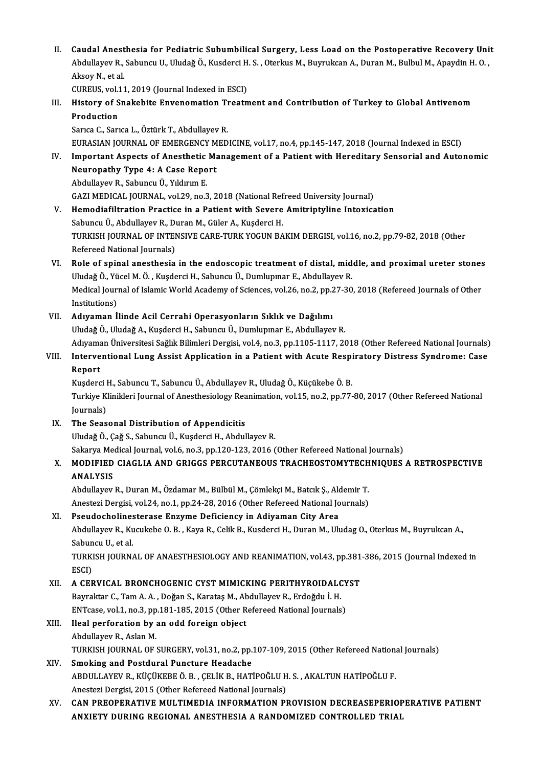II. Caudal Anesthesia for Pediatric Subumbilical Surgery, Less Load on the Postoperative Recovery Unit<br>Abdullayay P. Sabungu II. Uludaž Ö. Kuadarsi H.S., Otarlay M. Buymulsan A. Duran M. Bulbul M. Anaydin H.Q. Caudal Anesthesia for Pediatric Subumbilical Surgery, Less Load on the Postoperative Recovery Uni<br>Abdullayev R., Sabuncu U., Uludağ Ö., Kusderci H. S. , Oterkus M., Buyrukcan A., Duran M., Bulbul M., Apaydin H. O. , Caudal Anest<br>Abdullayev R.,<br>Aksoy N., et al.<br>CUPEUS vel 11 Abdullayev R., Sabuncu U., Uludağ Ö., Kusderci H. S. , Oterkus M., Buyrukcan A., Duran M., Bulbul M., Apaydin H. O. ,<br>Aksoy N., et al.<br>CUREUS, vol.11, 2019 (Journal Indexed in ESCI)

Aksoy N., et al.<br>CUREUS, vol.11, 2019 (Journal Indexed in ESCI)<br>III. History of Snakebite Envenomation Treatment and Contribution of Turkey to Global Antivenom<br>Production CUREUS, vol.1<br>History of S<br>Production<br>Sarica C. Sari History of Snakebite Envenomation Ti<br>Production<br>Sarıca C., Sarıca L., Öztürk T., Abdullayev R.<br>FURASIAN JOURNAL OF EMERCENCY MED Production<br>Sarıca C., Sarıca L., Öztürk T., Abdullayev R.<br>EURASIAN JOURNAL OF EMERGENCY MEDICINE, vol.17, no.4, pp.145-147, 2018 (Journal Indexed in ESCI)

- IV. Important Aspects of Anesthetic Management of a Patient with Hereditary Sensorial and Autonomic EURASIAN JOURNAL OF EMERGENCY M<br>Important Aspects of Anesthetic Ma<br>Neuropathy Type 4: A Case Report Important Aspects of Anesthetic<br>Neuropathy Type 4: A Case Repo<br>Abdullayev R., Sabuncu Ü., Yıldırım E.<br>CAZI MEDICAL JOUPNAL, vel 29, ne 3 Abdullayev R., Sabuncu Ü., Yıldırım E.<br>GAZI MEDICAL JOURNAL, vol.29, no.3, 2018 (National Refreed University Journal)
- V. Hemodiafiltration Practice in a Patient with Severe Amitriptyline Intoxication Sabuncu Ü., Abdullayev R., Duran M., Güler A., Kuşderci H. Hemodiafiltration Practice in a Patient with Severe Amitriptyline Intoxication<br>Sabuncu Ü., Abdullayev R., Duran M., Güler A., Kuşderci H.<br>TURKISH JOURNAL OF INTENSIVE CARE-TURK YOGUN BAKIM DERGISI, vol.16, no.2, pp.79-82, Sabuncu Ü., Abdullayev R., D<br>TURKISH JOURNAL OF INTEN<br>Refereed National Journals)<br>Pole of aninal anoathosia TURKISH JOURNAL OF INTENSIVE CARE-TURK YOGUN BAKIM DERGISI, vol.16, no.2, pp.79-82, 2018 (Other<br>Refereed National Journals)<br>VI. Role of spinal anesthesia in the endoscopic treatment of distal, middle, and proximal ureter s
- Refereed National Journals)<br>Role of spinal anesthesia in the endoscopic treatment of distal, mid<br>Uludağ Ö., Yücel M. Ö. , Kuşderci H., Sabuncu Ü., Dumlupınar E., Abdullayev R.<br>Medisal Journal of Islamis World Asedemy of Ss Role of spinal anesthesia in the endoscopic treatment of distal, middle, and proximal ureter stones<br>Uludağ Ö., Yücel M. Ö. , Kuşderci H., Sabuncu Ü., Dumlupınar E., Abdullayev R.<br>Medical Journal of Islamic World Academy of Uludağ Ö., Yücel M. Ö. , Kuşderci H., Sabuncu Ü., Dumlupınar E., Abdullayev R.<br>Medical Journal of Islamic World Academy of Sciences, vol.26, no.2, pp.27-30, 2018 (Refereed Journals of Other<br>Institutions)

## VII. Adıyaman İlinde Acil Cerrahi Operasyonların Sıklık ve Dağılımı

UludağÖ.,UludağA.,KuşderciH.,SabuncuÜ.,Dumlupınar E.,AbdulayevR.

Adıyaman İlinde Acil Cerrahi Operasyonların Sıklık ve Dağılımı<br>Uludağ Ö., Uludağ A., Kuşderci H., Sabuncu Ü., Dumlupınar E., Abdullayev R.<br>Adıyaman Üniversitesi Sağlık Bilimleri Dergisi, vol.4, no.3, pp.1105-1117, 2018 (Ot

Uludağ Ö., Uludağ A., Kuşderci H., Sabuncu Ü., Dumlupınar E., Abdullayev R.<br>Adıyaman Üniversitesi Sağlık Bilimleri Dergisi, vol.4, no.3, pp.1105-1117, 2018 (Other Refereed National Journals)<br>VIII. Interventional Lung Assis Adıyama<br><mark>Interve</mark><br>Report Interventional Lung Assist Application in a Patient with Acute Respi<br>Report<br>Kuşderci H., Sabuncu T., Sabuncu Ü., Abdullayev R., Uludağ Ö., Küçükebe Ö. B.<br>Turkiye Klinikleri Journal of Anesthesialegy Beanimation vol 15, no

Report<br>Kuşderci H., Sabuncu T., Sabuncu Ü., Abdullayev R., Uludağ Ö., Küçükebe Ö. B.<br>Turkiye Klinikleri Journal of Anesthesiology Reanimation, vol.15, no.2, pp.77-80, 2017 (Other Refereed National<br>Journals) Kuşderci H., Sabuncu T., Sabuncu Ü., Abdullayev R., Uludağ Ö., Küçükebe Ö. B.

IX. The Seasonal Distribution of Appendicitis UludağÖ.,Çağ S.,SabuncuÜ.,KuşderciH.,AbdulayevR.

Sakarya Medical Journal, vol.6, no.3, pp.120-123, 2016 (Other Refereed National Journals)

Uludağ Ö., Çağ S., Sabuncu Ü., Kuşderci H., Abdullayev R.<br>Sakarya Medical Journal, vol.6, no.3, pp.120-123, 2016 (Other Refereed National Journals)<br>X. MODIFIED CIAGLIA AND GRIGGS PERCUTANEOUS TRACHEOSTOMYTECHNIQUES A RETRO Sakarya Me<br>MODIFIED<br>ANALYSIS<br>Abdullayay MODIFIED CIAGLIA AND GRIGGS PERCUTANEOUS TRACHEOSTOMYTECH<br>ANALYSIS<br>Abdullayev R., Duran M., Özdamar M., Bülbül M., Çömlekçi M., Batcık Ş., Aldemir T.<br>Anesteri Dengisi vel 24. no.1. np.24.28.2016 (Other Befereed National Jo

ANALYSIS<br>Abdullayev R., Duran M., Özdamar M., Bülbül M., Çömlekçi M., Batcık Ş., Aldemir T.<br>Anestezi Dergisi, vol.24, no.1, pp.24-28, 2016 (Other Refereed National Journals)<br>Pesudesbelinesterese Enrume Defisionay in Adiyam Abdullayev R., Duran M., Özdamar M., Bülbül M., Çömlekçi M., Batcık Ş., Alc<br>Anestezi Dergisi, vol.24, no.1, pp.24-28, 2016 (Other Refereed National Jo<br>XI. Pseudocholinesterase Enzyme Deficiency in Adiyaman City Area<br>Abdull

## XI. Pseudocholinesterase Enzyme Deficiency in Adiyaman City Area

Abdullayev R., Kucukebe O. B., Kaya R., Celik B., Kusderci H., Duran M., Uludag O., Oterkus M., Buyrukcan A., Sabuncu U., et al.

TURKISH JOURNAL OF ANAESTHESIOLOGY AND REANIMATION, vol.43, pp.381-386, 2015 (Journal Indexed in<br>ESCI) TURKISH JOURNAL OF ANAESTHESIOLOGY AND REANIMATION, vol.43, pp.381<br>ESCI)<br>XII. A CERVICAL BRONCHOGENIC CYST MIMICKING PERITHYROIDALCYST<br>Bayraktar C. Tam A A . Dağan S. Karatas M. Abdullavay B. Erdoğdu İ. H

ESCI)<br>A CERVICAL BRONCHOGENIC CYST MIMICKING PERITHYROIDALC<br>Bayraktar C., Tam A. A. , Doğan S., Karataş M., Abdullayev R., Erdoğdu İ. H.<br>ENTesse val 1. no 3. nn 191.195. 2015. (Other Befereed National Jeurnale A CERVICAL BRONCHOGENIC CYST MIMICKING PERITHYROIDALCY<br>Bayraktar C., Tam A. A. , Doğan S., Karataş M., Abdullayev R., Erdoğdu İ. H.<br>ENTcase, vol.1, no.3, pp.181-185, 2015 (Other Refereed National Journals)<br>Heal perferetion Bayraktar C., Tam A. A. , Doğan S., Karataş M., Abdullayev R., Erdoğdu İ. H.<br>ENTcase, vol.1, no.3, pp.181-185, 2015 (Other Refereed National Journals)<br>XIII. Ileal perforation by an odd foreign object<br>Abdullavev R., Aslan M ENTcase, vol.1, no.3, pp.181-185, 2015 (Other Refereed National Journals)

## Ileal perforation by an odd foreign object<br>Abdullayev R., Aslan M.<br>TURKISH JOURNAL OF SURGERY, vol.31, no.2, pp.107-109, 2015 (Other Refereed National Journals)<br>Smeking and Bestdunal Bungtune Headaghe

## XIV. Smoking and Postdural Puncture Headache TURKISH JOURNAL OF SURGERY, vol.31, no.2, pp.107-109, 2015 (Other Refereed Nation:<br>Smoking and Postdural Puncture Headache<br>ABDULLAYEV R., KÜÇÜKEBE Ö. B. , ÇELİK B., HATİPOĞLU H. S. , AKALTUN HATİPOĞLU F.<br>Anesteri Dergisi 2 ABDULLAYEV R., KÜÇÜKEBE Ö. B. , ÇELİK B., HATİPOĞLU H. S. , AKALTUN HATİPOĞLU F.<br>Anestezi Dergisi, 2015 (Other Refereed National Journals) ABDULLAYEV R., KÜÇÜKEBE Ö. B. , ÇELİK B., HATİPOĞLU H. S. , AKALTUN HATİPOĞLU F.<br>Anestezi Dergisi, 2015 (Other Refereed National Journals)<br>XV. CAN PREOPERATIVE MULTIMEDIA INFORMATION PROVISION DECREASEPERIOPERATIVE PAT

Anestezi Dergisi, 2015 (Other Refereed National Journals)<br>CAN PREOPERATIVE MULTIMEDIA INFORMATION PROVISION DECREASEPERIOP<br>ANXIETY DURING REGIONAL ANESTHESIA A RANDOMIZED CONTROLLED TRIAL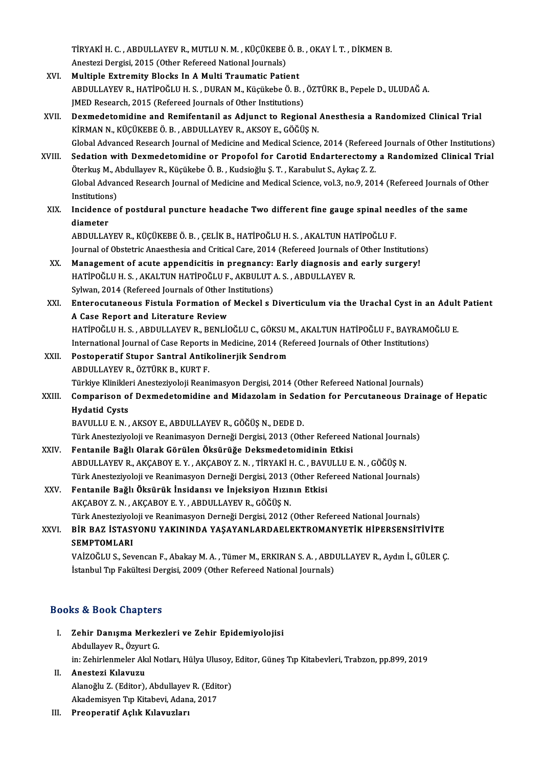TİRYAKİ H. C. , ABDULLAYEV R., MUTLU N. M. , KÜÇÜKEBE Ö. B. , OKAY İ. T. , DİKMEN B.<br>Apesteri Dergici, 2015. (Other Befereed National Jeurnale) TİRYAKİ H. C. , ABDULLAYEV R., MUTLU N. M. , KÜÇÜKEBE<br>Anestezi Dergisi, 2015 (Other Refereed National Journals)<br>Multiple Eutremity Placks In A Multi Treumatic Patio

- Anestezi Dergisi, 2015 (Other Refereed National Journals)<br>XVI. Multiple Extremity Blocks In A Multi Traumatic Patient Anestezi Dergisi, 2015 (Other Refereed National Journals)<br>Multiple Extremity Blocks In A Multi Traumatic Patient<br>ABDULLAYEV R., HATİPOĞLU H. S. , DURAN M., Küçükebe Ö. B. , ÖZTÜRK B., Pepele D., ULUDAĞ A.<br>IMED Besesrsh. 20 Multiple Extremity Blocks In A Multi Traumatic Patient<br>ABDULLAYEV R., HATİPOĞLU H. S. , DURAN M., Küçükebe Ö. B. ,<br>JMED Research, 2015 (Refereed Journals of Other Institutions)<br>Dexmedatemidine and Pemifentanil as Adjungt t ABDULLAYEV R., HATİPOĞLU H. S. , DURAN M., Küçükebe Ö. B. , ÖZTÜRK B., Pepele D., ULUDAĞ A.<br>JMED Research, 2015 (Refereed Journals of Other Institutions)<br>XVII. Dexmedetomidine and Remifentanil as Adjunct to Regional Anesth
- JMED Research, 2015 (Refereed Journals of Other Institutions)<br>Dexmedetomidine and Remifentanil as Adjunct to Regional Anesthesia a Randomized Clinical Trial<br>KİRMAN N., KÜÇÜKEBE Ö.B., ABDULLAYEV R., AKSOY E., GÖĞÜŞ N.<br>Globa Dexmedetomidine and Remifentanil as Adjunct to Regional Anesthesia a Randomized Clinical Trial<br>KİRMAN N., KÜÇÜKEBE Ö. B. , ABDULLAYEV R., AKSOY E., GÖĞÜŞ N.<br>Global Advanced Research Journal of Medicine and Medical Science, KİRMAN N., KÜÇÜKEBE Ö. B. , ABDULLAYEV R., AKSOY E., GÖĞÜŞ N.<br>Global Advanced Research Journal of Medicine and Medical Science, 2014 (Refereed Journals of Other Institutions)<br>XVIII. Sedation with Dexmedetomidine or Propofo
- Global Advanced Research Journal of Medicine and Medical Science, 2014 (Referee<br>Sedation with Dexmedetomidine or Propofol for Carotid Endarterectomy<br>Öterkuş M., Abdullayev R., Küçükebe Ö. B. , Kudsioğlu Ş. T. , Karabulut S Sedation with Dexmedetomidine or Propofol for Carotid Endarterectomy a Randomized Clinical Tria<br>Öterkuş M., Abdullayev R., Küçükebe Ö. B. , Kudsioğlu Ş. T. , Karabulut S., Aykaç Z. Z.<br>Global Advanced Research Journal of Me Öterkuş M., A<br>Global Advar<br>Institutions)<br>Insidance o Global Advanced Research Journal of Medicine and Medical Science, vol.3, no.9, 2014 (Refereed Journals of the<br>Institutions)<br>XIX. Incidence of postdural puncture headache Two different fine gauge spinal needles of the same<br>
- Institution<br>Incidence<br>diameter<br>ARDUU AN Incidence of postdural puncture headache Two different fine gauge spinal nee<br>diameter<br>ABDULLAYEV R., KÜÇÜKEBE Ö. B. , ÇELİK B., HATİPOĞLU H. S. , AKALTUN HATİPOĞLU F.<br>Journal of Obstatris Anassthesia and Critisal Care, 201

diameter<br>ABDULLAYEV R., KÜÇÜKEBE Ö. B. , ÇELİK B., HATİPOĞLU H. S. , AKALTUN HATİPOĞLU F.<br>Journal of Obstetric Anaesthesia and Critical Care, 2014 (Refereed Journals of Other Institutions)<br>Management of asute ennendisitie

- ABDULLAYEV R., KÜÇÜKEBE Ö. B., ÇELİK B., HATİPOĞLU H. S., AKALTUN HATİPOĞLU F.<br>Journal of Obstetric Anaesthesia and Critical Care, 2014 (Refereed Journals of Other Institution<br>XX. Management of acute appendicitis in pregna Journal of Obstetric Anaesthesia and Critical Care, 2014 (Refereed Journals of Management of acute appendicitis in pregnancy: Early diagnosis and HATİPOĞLU H. S. , AKALTUN HATİPOĞLU F., AKBULUT A. S. , ABDULLAYEV R. Management of acute appendicitis in pregnancy:<br>HATİPOĞLU H. S. , AKALTUN HATİPOĞLU F., AKBULUT .<br>Sylwan, 2014 (Refereed Journals of Other Institutions)<br>Enteresytaneaus Fistule Fermation of Meskel e L HATİPOĞLU H. S. , AKALTUN HATİPOĞLU F., AKBULUT A. S. , ABDULLAYEV R.<br>Sylwan, 2014 (Refereed Journals of Other Institutions)<br>XXI. Enterocutaneous Fistula Formation of Meckel s Diverticulum via the Urachal Cyst in an Ad
- Sylwan, 2014 (Refereed Journals of Other I<br>Enterocutaneous Fistula Formation of<br>A Case Report and Literature Review<br>HATIPOČLILH S APDULLAVEV P-PENLIC Enterocutaneous Fistula Formation of Meckel s Diverticulum via the Urachal Cyst in an Adult<br>A Case Report and Literature Review<br>HATİPOĞLU H. S. , ABDULLAYEV R., BENLİOĞLU C., GÖKSU M., AKALTUN HATİPOĞLU F., BAYRAMOĞLU E.<br>I A Case Report and Literature Review<br>HATİPOĞLU H. S. , ABDULLAYEV R., BENLİOĞLU C., GÖKSU M., AKALTUN HATİPOĞLU F., BAYRAM(<br>International Journal of Case Reports in Medicine, 2014 (Refereed Journals of Other Institutions)<br>P
- HATİPOĞLU H. S. , ABDULLAYEV R., BENLİOĞLU C., GÖKSU I<br>International Journal of Case Reports in Medicine, 2014 (Re<br>XXII. Postoperatif Stupor Santral Antikolinerjik Sendrom<br>APDULLAYEV P. ÖZTÜPK P. KUPT E International Journal of Case Reports<br>Postoperatif Stupor Santral Antik<br>ABDULLAYEV R., ÖZTÜRK B., KURT F.<br>Türkiye Klinikleri Anesteriyeleji Bean Postoperatif Stupor Santral Antikolinerjik Sendrom<br>ABDULLAYEV R., ÖZTÜRK B., KURT F.<br>Türkiye Klinikleri Anesteziyoloji Reanimasyon Dergisi, 2014 (Other Refereed National Journals)<br>Comparison of Dovmedstomidine and Midarela
- ABDULLAYEV R., ÖZTÜRK B., KURT F.<br>Türkiye Klinikleri Anesteziyoloji Reanimasyon Dergisi, 2014 (Other Refereed National Journals)<br>XXIII. Comparison of Dexmedetomidine and Midazolam in Sedation for Percutaneous Drainage Türkiye Klinikle<br>Comparison o<br>Hydatid Cysts<br>PAVIII LUE N Hydatid Cysts<br>BAVULLU E. N. , AKSOY E., ABDULLAYEV R., GÖĞÜŞ N., DEDE D.<br>Türk Anesteziyoloji ve Reanimasyon Derneği Dergisi, 2013 (Other Refereed National Journals)<br>Fentanila Bağlı Olarak Görülen Öksürüğe Deksmedetemidinin

BAVULLUE.N. ,AKSOYE.,ABDULLAYEVR.,GÖĞÜŞN.,DEDED.

- BAVULLU E. N. , AKSOY E., ABDULLAYEV R., GÖĞÜŞ N., DEDE D.<br>Türk Anesteziyoloji ve Reanimasyon Derneği Dergisi, 2013 (Other Refereed I<br>XXIV. Fentanile Bağlı Olarak Görülen Öksürüğe Deksmedetomidinin Etkisi Türk Anesteziyoloji ve Reanimasyon Derneği Dergisi, 2013 (Other Refereed National Journa<br>Fentanile Bağlı Olarak Görülen Öksürüğe Deksmedetomidinin Etkisi<br>ABDULLAYEV R., AKÇABOY E. Y. , AKÇABOY Z. N. , TİRYAKİ H. C. , BAVUL Fentanile Bağlı Olarak Görülen Öksürüğe Deksmedetomidinin Etkisi<br>ABDULLAYEV R., AKÇABOY E. Y. , AKÇABOY Z. N. , TİRYAKİ H. C. , BAVULLU E. N. , GÖĞÜŞ N.<br>Türk Anesteziyoloji ve Reanimasyon Derneği Dergisi, 2013 (Other Refer ABDULLAYEV R., AKÇABOY E. Y. , AKÇABOY Z. N. , TİRYAKİ H. C. , BAVI<br>Türk Anesteziyoloji ve Reanimasyon Derneği Dergisi, 2013 (Other Ref<br>XXV. Fentanile Bağlı Öksürük İnsidansı ve İnjeksiyon Hızının Etkisi
- Türk Anesteziyoloji ve Reanimasyon Derneği Dergisi, 2013 (<br>Fentanile Bağlı Öksürük İnsidansı ve İnjeksiyon Hızın<br>AKÇABOY Z. N. , AKÇABOY E. Y. , ABDULLAYEV R., GÖĞÜŞ N.<br>Türk Anesteriyeleji ve Beanimasyon Derneği Dersisi, 2 Fentanile Bağlı Öksürük İnsidansı ve İnjeksiyon Hızının Etkisi<br>AKÇABOY Z. N. , AKÇABOY E. Y. , ABDULLAYEV R., GÖĞÜŞ N.<br>Türk Anesteziyoloji ve Reanimasyon Derneği Dergisi, 2012 (Other Refereed National Journals)<br>PİR BAZ İST AKÇABOY Z. N. , AKÇABOY E. Y. , ABDULLAYEV R., GÖĞÜŞ N.<br>Türk Anesteziyoloji ve Reanimasyon Derneği Dergisi, 2012 (Other Refereed National Journals)<br>XXVI. BİR BAZ İSTASYONU YAKININDA YAŞAYANLARDAELEKTROMANYETİK HİPERSEN
- Türk Anesteziyol<br>BİR BAZ İSTASY<br>SEMPTOMLARI<br>VAİZOČLU S. Sov BİR BAZ İSTASYONU YAKININDA YAŞAYANLARDAELEKTROMANYETİK HİPERSENSİTİVİTE<br>SEMPTOMLARI<br>VAİZOĞLU S., Sevencan F., Abakay M. A. , Tümer M., ERKIRAN S. A. , ABDULLAYEV R., Aydın İ., GÜLER Ç.<br>İstanbul Tın Fakültesi Dergisi 2009

```
SEMPTOMLARI<br>VAİZOĞLU S., Sevencan F., Abakay M. A. , Tümer M., ERKIRAN S. A. , ABDULLAYEV R., Aydın İ., GÜLER Ç.<br>İstanbul Tıp Fakültesi Dergisi, 2009 (Other Refereed National Journals)
```
## Books&Book Chapters

- ooks & Book Chapters<br>I. Zehir Danışma Merkezleri ve Zehir Epidemiyolojisi<br>Abdullayay B. Ömnut C 1980 Sook Ghapter<br>Zehir Danışma Merke<br>Abdullayev R., Özyurt G. Abdullayev R., Özyurt G.<br>in: Zehirlenmeler Akıl Notları, Hülya Ulusoy, Editor, Güneş Tıp Kitabevleri, Trabzon, pp.899, 2019
- II. Anestezi Kılavuzu in: Zehirlenmeler Akıl Notları, Hülya Ulusoy,<br>Anestezi Kılavuzu<br>Alanoğlu Z. (Editor), Abdullayev R. (Editor)<br>Alademiayen Tın Kitabevi, Adana, 2017 Anestezi Kılavuzu<br>Alanoğlu Z. (Editor), Abdullayev R. (Edit<br>Akademisyen Tıp Kitabevi, Adana, 2017<br>Preeneretif Aslık Kılayyızları Akademisyen Tıp Kitabevi, Adana, 2017<br>III. Preoperatif Açlık Kılavuzları
-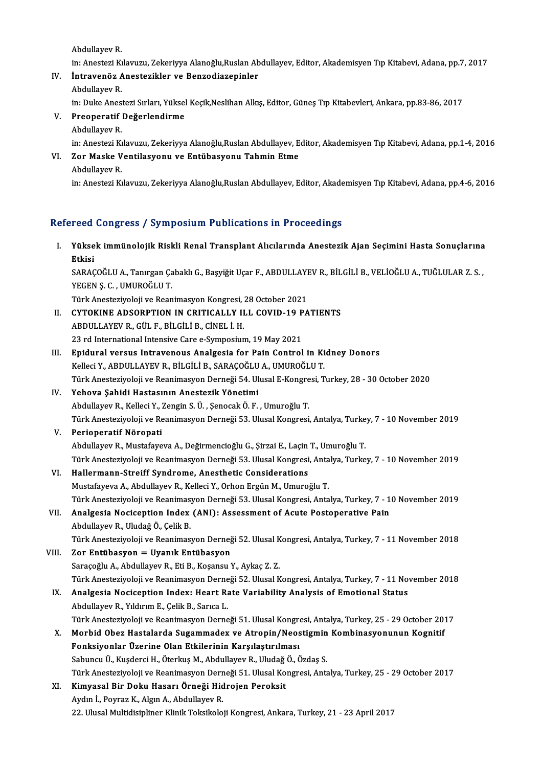AbdulayevR.

in: Anestezi Kılavuzu, Zekeriyya Alanoğlu,Ruslan Abdullayev, Editor, Akademisyen Tıp Kitabevi, Adana, pp.7, 2017

Abdullayev R.<br>in: Anestezi Kılavuzu, Zekeriyya Alanoğlu,Ruslan Ab<br>IV. İntravenöz Anestezikler ve Benzodiazepinler in: Anestezi Kı<br>İntravenöz A<br>Abdullayev R.<br>in: Duke Anes

İntravenöz Anestezikler ve Benzodiazepinler<br>Abdullayev R.<br>in: Duke Anestezi Sırları, Yüksel Keçik,Neslihan Alkış, Editor, Güneş Tıp Kitabevleri, Ankara, pp.83-86, 2017<br>Preeneratif Değerlendirme

Abdullayev R.<br>in: Duke Anestezi Sırları, Yükse<br>V. Preoperatif Değerlendirme<br>Abdullayev R. in: Duke Anes<br>Preoperatif<br>Abdullayev R.<br>in: Apesteri Kr

in: Anestezi Kılavuzu, Zekeriyya Alanoğlu,Ruslan Abdullayev, Editor, Akademisyen Tıp Kitabevi, Adana, pp.1-4, 2016 Abdullayev R.<br>in: Anestezi Kılavuzu, Zekeriyya Alanoğlu,Ruslan Abdullayev, E<br>VI. Zor Maske Ventilasyonu ve Entübasyonu Tahmin Etme in: Anestezi Ki<br>Zor Maske V<br>Abdullayev R.<br>in: Anesteri Ki

Abdullayev R.<br>in: Anestezi Kılavuzu, Zekeriyya Alanoğlu,Ruslan Abdullayev, Editor, Akademisyen Tıp Kitabevi, Adana, pp.4-6, 2016

## Refereed Congress / Symposium Publications in Proceedings<br>

| Refereed Congress / Symposium Publications in Proceedings |                                                                                                                                          |
|-----------------------------------------------------------|------------------------------------------------------------------------------------------------------------------------------------------|
| I.                                                        | Yüksek immünolojik Riskli Renal Transplant Alıcılarında Anestezik Ajan Seçimini Hasta Sonuçlarına<br>Etkisi                              |
|                                                           | SARAÇOĞLU A., Tanırgan Çabaklı G., Başyiğit Uçar F., ABDULLAYEV R., BİLGİLİ B., VELİOĞLU A., TUĞLULAR Z. S.,<br>YEGEN Ş. C., UMUROĞLU T. |
|                                                           | Türk Anesteziyoloji ve Reanimasyon Kongresi, 28 October 2021                                                                             |
| Н.                                                        | CYTOKINE ADSORPTION IN CRITICALLY ILL COVID-19 PATIENTS                                                                                  |
|                                                           | ABDULLAYEV R., GÜL F., BİLGİLİ B., CİNEL İ. H.                                                                                           |
|                                                           | 23 rd International Intensive Care e-Symposium, 19 May 2021                                                                              |
| III.                                                      | Epidural versus Intravenous Analgesia for Pain Control in Kidney Donors                                                                  |
|                                                           | Kelleci Y., ABDULLAYEV R., BİLGİLİ B., SARAÇOĞLU A., UMUROĞLU T.                                                                         |
|                                                           | Türk Anesteziyoloji ve Reanimasyon Derneği 54. Ulusal E-Kongresi, Turkey, 28 - 30 October 2020                                           |
| IV.                                                       | Yehova Şahidi Hastasının Anestezik Yönetimi                                                                                              |
|                                                           | Abdullayev R., Kelleci Y., Zengin S. Ü., Şenocak Ö. F., Umuroğlu T.                                                                      |
|                                                           | Türk Anesteziyoloji ve Reanimasyon Derneği 53. Ulusal Kongresi, Antalya, Turkey, 7 - 10 November 2019                                    |
| V.                                                        | Perioperatif Nöropati                                                                                                                    |
|                                                           | Abdullayev R., Mustafayeva A., Değirmencioğlu G., Şirzai E., Laçin T., Umuroğlu T.                                                       |
|                                                           | Türk Anesteziyoloji ve Reanimasyon Derneği 53. Ulusal Kongresi, Antalya, Turkey, 7 - 10 November 2019                                    |
| VI.                                                       | Hallermann-Streiff Syndrome, Anesthetic Considerations                                                                                   |
|                                                           | Mustafayeva A., Abdullayev R., Kelleci Y., Orhon Ergün M., Umuroğlu T.                                                                   |
|                                                           | Türk Anesteziyoloji ve Reanimasyon Derneği 53. Ulusal Kongresi, Antalya, Turkey, 7 - 10 November 2019                                    |
| VII.                                                      | Analgesia Nociception Index (ANI): Assessment of Acute Postoperative Pain                                                                |
|                                                           | Abdullayev R., Uludağ Ö., Çelik B.                                                                                                       |
|                                                           | Türk Anesteziyoloji ve Reanimasyon Derneği 52. Ulusal Kongresi, Antalya, Turkey, 7 - 11 November 2018                                    |
| VIII.                                                     | Zor Entübasyon = Uyanık Entübasyon                                                                                                       |
|                                                           | Saraçoğlu A., Abdullayev R., Eti B., Koşansu Y., Aykaç Z. Z.                                                                             |
|                                                           | Türk Anesteziyoloji ve Reanimasyon Derneği 52. Ulusal Kongresi, Antalya, Turkey, 7 - 11 November 2018                                    |
| IX.                                                       | Analgesia Nociception Index: Heart Rate Variability Analysis of Emotional Status                                                         |
|                                                           | Abdullayev R., Yıldırım E., Çelik B., Sarıca L.                                                                                          |
|                                                           | Türk Anesteziyoloji ve Reanimasyon Derneği 51. Ulusal Kongresi, Antalya, Turkey, 25 - 29 October 2017                                    |
| Х.                                                        | Morbid Obez Hastalarda Sugammadex ve Atropin/Neostigmin Kombinasyonunun Kognitif                                                         |
|                                                           | Fonksiyonlar Üzerine Olan Etkilerinin Karşılaştırılması                                                                                  |
|                                                           | Sabuncu Ü., Kuşderci H., Öterkuş M., Abdullayev R., Uludağ Ö., Özdaş S.                                                                  |
|                                                           | Türk Anesteziyoloji ve Reanimasyon Derneği 51. Ulusal Kongresi, Antalya, Turkey, 25 - 29 October 2017                                    |
| XI.                                                       | Kimyasal Bir Doku Hasarı Örneği Hidrojen Peroksit                                                                                        |
|                                                           | Aydın İ., Poyraz K., Algın A., Abdullayev R.                                                                                             |
|                                                           | 22. Ulusal Multidisipliner Klinik Toksikoloji Kongresi, Ankara, Turkey, 21 - 23 April 2017                                               |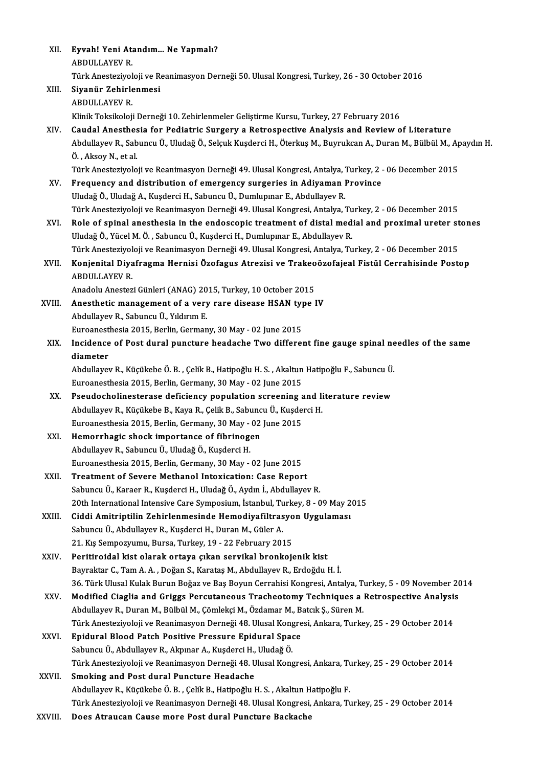| XII.        | Eyvah! Yeni Atandım Ne Yapmalı?                                                                                                             |
|-------------|---------------------------------------------------------------------------------------------------------------------------------------------|
|             | <b>ABDULLAYEV R.</b>                                                                                                                        |
|             | Türk Anesteziyoloji ve Reanimasyon Derneği 50. Ulusal Kongresi, Turkey, 26 - 30 October 2016                                                |
| XIII.       | Siyanür Zehirlenmesi                                                                                                                        |
|             | <b>ABDULLAYEV R.</b>                                                                                                                        |
|             | Klinik Toksikoloji Derneği 10. Zehirlenmeler Geliştirme Kursu, Turkey, 27 February 2016                                                     |
| XIV.        | Caudal Anesthesia for Pediatric Surgery a Retrospective Analysis and Review of Literature                                                   |
|             | Abdullayev R., Sabuncu Ü., Uludağ Ö., Selçuk Kuşderci H., Öterkuş M., Buyrukcan A., Duran M., Bülbül M., Apaydın H.<br>Ö., Aksoy N., et al. |
|             | Türk Anesteziyoloji ve Reanimasyon Derneği 49. Ulusal Kongresi, Antalya, Turkey, 2 - 06 December 2015                                       |
| XV.         | Frequency and distribution of emergency surgeries in Adiyaman Province                                                                      |
|             | Uludağ Ö., Uludağ A., Kuşderci H., Sabuncu Ü., Dumlupınar E., Abdullayev R.                                                                 |
|             | Türk Anesteziyoloji ve Reanimasyon Derneği 49. Ulusal Kongresi, Antalya, Turkey, 2 - 06 December 2015                                       |
| XVI.        | Role of spinal anesthesia in the endoscopic treatment of distal medial and proximal ureter stones                                           |
|             | Uludağ Ö., Yücel M. Ö., Sabuncu Ü., Kuşderci H., Dumlupınar E., Abdullayev R.                                                               |
|             | Türk Anesteziyoloji ve Reanimasyon Derneği 49. Ulusal Kongresi, Antalya, Turkey, 2 - 06 December 2015                                       |
| XVII.       | Konjenital Diyafragma Hernisi Özofagus Atrezisi ve Trakeoözofajeal Fistül Cerrahisinde Postop                                               |
|             | <b>ABDULLAYEV R.</b>                                                                                                                        |
| XVIII.      | Anadolu Anestezi Günleri (ANAG) 2015, Turkey, 10 October 2015<br>Anesthetic management of a very rare disease HSAN type IV                  |
|             | Abdullayev R., Sabuncu Ü., Yıldırım E.                                                                                                      |
|             | Euroanesthesia 2015, Berlin, Germany, 30 May - 02 June 2015                                                                                 |
| XIX.        | Incidence of Post dural puncture headache Two different fine gauge spinal needles of the same                                               |
|             | diameter                                                                                                                                    |
|             | Abdullayev R., Küçükebe Ö. B., Çelik B., Hatipoğlu H. S., Akaltun Hatipoğlu F., Sabuncu Ü.                                                  |
|             | Euroanesthesia 2015, Berlin, Germany, 30 May - 02 June 2015                                                                                 |
| XX.         | Pseudocholinesterase deficiency population screening and literature review                                                                  |
|             | Abdullayev R., Küçükebe B., Kaya R., Çelik B., Sabuncu Ü., Kuşderci H.                                                                      |
|             | Euroanesthesia 2015, Berlin, Germany, 30 May - 02 June 2015                                                                                 |
| XXI.        | Hemorrhagic shock importance of fibrinogen                                                                                                  |
|             | Abdullayev R., Sabuncu Ü., Uludağ Ö., Kuşderci H.                                                                                           |
|             | Euroanesthesia 2015, Berlin, Germany, 30 May - 02 June 2015                                                                                 |
| XXII.       | Treatment of Severe Methanol Intoxication: Case Report                                                                                      |
|             | Sabuncu Ü., Karaer R., Kuşderci H., Uludağ Ö., Aydın İ., Abdullayev R.                                                                      |
|             | 20th International Intensive Care Symposium, İstanbul, Turkey, 8 - 09 May 2015                                                              |
| XXIII.      | Ciddi Amitriptilin Zehirlenmesinde Hemodiyafiltrasyon Uygulaması                                                                            |
|             | Sabuncu Ü., Abdullayev R., Kuşderci H., Duran M., Güler A.                                                                                  |
|             | 21. Kış Sempozyumu, Bursa, Turkey, 19 - 22 February 2015                                                                                    |
| XXIV.       | Peritiroidal kist olarak ortaya çıkan servikal bronkojenik kist                                                                             |
|             | Bayraktar C., Tam A. A., Doğan S., Karataş M., Abdullayev R., Erdoğdu H. İ.                                                                 |
|             | 36. Türk Ulusal Kulak Burun Boğaz ve Baş Boyun Cerrahisi Kongresi, Antalya, Turkey, 5 - 09 November 2014                                    |
| XXV.        | Modified Ciaglia and Griggs Percutaneous Tracheotomy Techniques a Retrospective Analysis                                                    |
|             | Abdullayev R., Duran M., Bülbül M., Çömlekçi M., Özdamar M., Batcık Ş., Süren M.                                                            |
|             | Türk Anesteziyoloji ve Reanimasyon Derneği 48. Ulusal Kongresi, Ankara, Turkey, 25 - 29 October 2014                                        |
| <b>XXVI</b> | Epidural Blood Patch Positive Pressure Epidural Space                                                                                       |
|             | Sabuncu Ü., Abdullayev R., Akpınar A., Kuşderci H., Uludağ Ö.                                                                               |
|             | Türk Anesteziyoloji ve Reanimasyon Derneği 48. Ulusal Kongresi, Ankara, Turkey, 25 - 29 October 2014                                        |
| XXVII.      | Smoking and Post dural Puncture Headache                                                                                                    |
|             | Abdullayev R., Küçükebe Ö. B., Çelik B., Hatipoğlu H. S., Akaltun Hatipoğlu F.                                                              |
|             | Türk Anesteziyoloji ve Reanimasyon Derneği 48. Ulusal Kongresi, Ankara, Turkey, 25 - 29 October 2014                                        |
| XXVIII.     | Does Atraucan Cause more Post dural Puncture Backache                                                                                       |
|             |                                                                                                                                             |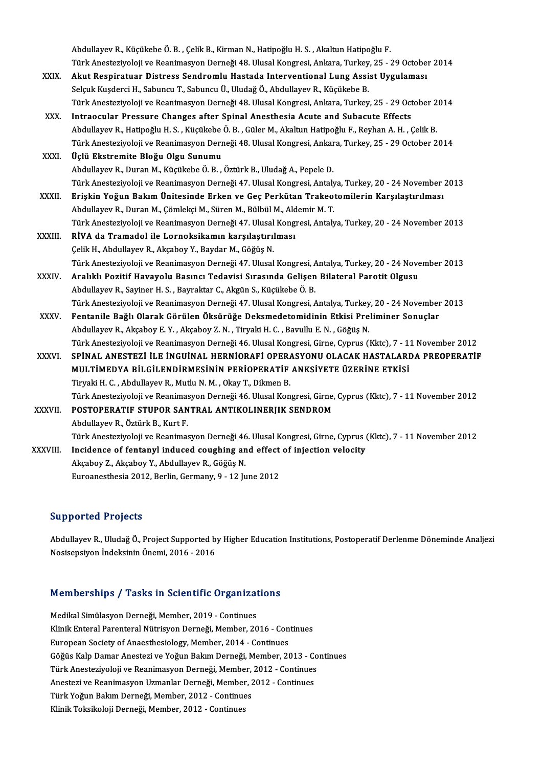Abdullayev R., Küçükebe Ö. B. , Çelik B., Kirman N., Hatipoğlu H. S. , Akaltun Hatipoğlu F.<br>Türk Anastesiyeleji ve Beanimasyan Derneği 48 Hlusel Kensresi, Ankana, Turkey, 25 - . Türk Anesteziyoloji ve Reanimasyon Derneği 48. Ulusal Kongresi, Ankara, Turkey, 25 - 29 October 2014<br>Akut Respiratuar Distress Sendromlu Hastada Interventional Lung Assist Uygulaması Abdullayev R., Küçükebe Ö. B. , Çelik B., Kirman N., Hatipoğlu H. S. , Akaltun Hatipoğlu F.<br>Türk Anesteziyoloji ve Reanimasyon Derneği 48. Ulusal Kongresi, Ankara, Turkey, 25 - 29 Octobe:<br>XXIX. Akut Respiratuar Distress Se

- Selçuk Kuşderci H., Sabuncu T., Sabuncu Ü., Uludağ Ö., Abdullayev R., Küçükebe B. Akut Respiratuar Distress Sendromlu Hastada Interventional Lung Assist Uygulaması<br>Selçuk Kuşderci H., Sabuncu T., Sabuncu Ü., Uludağ Ö., Abdullayev R., Küçükebe B.<br>Türk Anesteziyoloji ve Reanimasyon Derneği 48. Ulusal Kong Selçuk Kuşderci H., Sabuncu T., Sabuncu Ü., Uludağ Ö., Abdullayev R., Küçükebe B.<br>Türk Anesteziyoloji ve Reanimasyon Derneği 48. Ulusal Kongresi, Ankara, Turkey, 25 - 29 Oct<br>XXX. Intraocular Pressure Changes after Spinal A
- Türk Anesteziyoloji ve Reanimasyon Derneği 48. Ulusal Kongresi, Ankara, Turkey, 25 29 October 2<br>Intraocular Pressure Changes after Spinal Anesthesia Acute and Subacute Effects<br>Abdullayev R., Hatipoğlu H. S. , Küçükebe Ö. Intraocular Pressure Changes after Spinal Anesthesia Acute and Subacute Effects<br>Abdullayev R., Hatipoğlu H. S. , Küçükebe Ö. B. , Güler M., Akaltun Hatipoğlu F., Reyhan A. H. , Çelik B.<br>Türk Anesteziyoloji ve Reanimasyon D Abdullayev R., Hatipoğlu H. S. , Küçükebe<br>Türk Anesteziyoloji ve Reanimasyon Derr<br>XXXI. Üçlü Ekstremite Bloğu Olgu Sunumu<br>Abdullayev B. Duran M. Küçükebe Ö. B

Türk Anesteziyoloji ve Reanimasyon Derneği 48. Ulusal Kongresi, Ankara, Turkey, 25 - 29 October 2014<br>Üçlü Ekstremite Bloğu Olgu Sunumu<br>Abdullayev R., Duran M., Küçükebe Ö. B. , Öztürk B., Uludağ A., Pepele D. Türk Anesteziyoloji ve Reanimasyon Derneği 47. Ulusal Kongresi, Antalya, Turkey, 20 - 24 November 2013

- XXXII. Erişkin Yoğun Bakım Ünitesinde Erken ve Geç Perkütan Trakeotomilerin Karşılaştırılması AbdulayevR.,DuranM.,ÇömlekçiM.,SürenM.,BülbülM.,AldemirM.T. Erişkin Yoğun Bakım Ünitesinde Erken ve Geç Perkütan Trakeotomilerin Karşılaştırılması<br>Abdullayev R., Duran M., Çömlekçi M., Süren M., Bülbül M., Aldemir M. T.<br>Türk Anesteziyoloji ve Reanimasyon Derneği 47. Ulusal Kongresi Abdullayev R., Duran M., Çömlekçi M., Süren M., Bülbül M., Ald<br>Türk Anesteziyoloji ve Reanimasyon Derneği 47. Ulusal Kong<br>XXXIII. RİVA da Tramadol ile Lornoksikamın karşılaştırılması<br>Celik H. Abdullayov B. Akapbay V. B
- Türk Anesteziyoloji ve Reanimasyon Derneği 47. Ulusal<br>RİVA da Tramadol ile Lornoksikamın karşılaştırıl<br>Çelik H., Abdullayev R., Akçaboy Y., Baydar M., Göğüş N.<br>Türk Anesteriyoloji ve Beanimasyon Derneği 47. Ulusal RİVA da Tramadol ile Lornoksikamın karşılaştırılması<br>Çelik H., Abdullayev R., Akçaboy Y., Baydar M., Göğüş N.<br>Türk Anesteziyoloji ve Reanimasyon Derneği 47. Ulusal Kongresi, Antalya, Turkey, 20 - 24 November 2013<br>Analıklı Celik H., Abdullayev R., Akçaboy Y., Baydar M., Göğüş N.<br>Türk Anesteziyoloji ve Reanimasyon Derneği 47. Ulusal Kongresi, Antalya, Turkey, 20 - 24 Nove<br>XXXIV. Aralıklı Pozitif Havayolu Basıncı Tedavisi Sırasında Gelişen
- Aralıklı Pozitif Havayolu Basıncı Tedavisi Sırasında Gelişen Bilateral Parotit Olgusu<br>Abdullayev R., Sayiner H. S., Bayraktar C., Akgün S., Küçükebe Ö. B. Aralıklı Pozitif Havayolu Basıncı Tedavisi Sırasında Gelişen Bilateral Parotit Olgusu<br>Abdullayev R., Sayiner H. S. , Bayraktar C., Akgün S., Küçükebe Ö. B.<br>Türk Anesteziyoloji ve Reanimasyon Derneği 47. Ulusal Kongresi, An Abdullayev R., Sayiner H. S. , Bayraktar C., Akgün S., Küçükebe Ö. B.<br>Türk Anesteziyoloji ve Reanimasyon Derneği 47. Ulusal Kongresi, Antalya, Turkey, 20 - 24 November<br>XXXV. Fentanile Bağlı Olarak Görülen Öksürüğe Deksmede
- Türk Anesteziyoloji ve Reanimasyon Derneği 47. Ulusal Kongresi, Antalya, Turkey<br>Fentanile Bağlı Olarak Görülen Öksürüğe Deksmedetomidinin Etkisi Pre<br>Abdullayev R., Akçaboy E. Y. , Akçaboy Z. N. , Tiryaki H. C. , Bavullu E. Fentanile Bağlı Olarak Görülen Öksürüğe Deksmedetomidinin Etkisi Preliminer Sonuçlar<br>Abdullayev R., Akçaboy E. Y. , Akçaboy Z. N. , Tiryaki H. C. , Bavullu E. N. , Göğüş N.<br>Türk Anesteziyoloji ve Reanimasyon Derneği 46. Ul Abdullayev R., Akçaboy E. Y. , Akçaboy Z. N. , Tiryaki H. C. , Bavullu E. N. , Göğüş N.<br>Türk Anesteziyoloji ve Reanimasyon Derneği 46. Ulusal Kongresi, Girne, Cyprus (Kktc), 7 - 11 November 2012<br>XXXVI. SPİNAL ANESTEZİ İLE
- Türk Anesteziyoloji ve Reanimasyon Derneği 46. Ulusal Kongresi, Girne, Cyprus (Kktc), 7 1<br>SPİNAL ANESTEZİ İLE İNGUİNAL HERNİORAFİ OPERASYONU OLACAK HASTALARI<br>MULTİMEDYA BİLGİLENDİRMESİNİN PERİOPERATİF ANKSİYETE ÜZERİNE E SPINAL ANESTEZI ILE INGUINAL HERNIORAFI OPERASYONU OLACAK HASTALARDA PREOPERATIF<br>MULTIMEDYA BILGILENDIRMESININ PERIOPERATIF ANKSIYETE ÜZERINE ETKISI<br>Tiryaki H. C. , Abdullayev R., Mutlu N. M. , Okay T., Dikmen B. MULTİMEDYA BİLGİLENDİRMESİNİN PERİOPERATİF ANKSİYETE ÜZERİNE ETKİSİ<br>Tiryaki H. C. , Abdullayev R., Mutlu N. M. , Okay T., Dikmen B.<br>Türk Anesteziyoloji ve Reanimasyon Derneği 46. Ulusal Kongresi, Girne, Cyprus (Kktc), 7 - Tiryaki H. C. , Abdullayev R., Mutlu N. M. , Okay T., Dikmen B.<br>Türk Anesteziyoloji ve Reanimasyon Derneği 46. Ulusal Kongresi, Girne,<br>XXXVII. POSTOPERATIF STUPOR SANTRAL ANTIKOLINERJIK SENDROM<br>Abdullayay B. Östürk B. Kurt

POSTOPERATIF STUPOR SANTRAL ANTIKOLINERJIK SENDROM<br>Abdullayev R., Öztürk B., Kurt F. POSTOPERATIF STUPOR SANTRAL ANTIKOLINERJIK SENDROM<br>Abdullayev R., Öztürk B., Kurt F.<br>Türk Anesteziyoloji ve Reanimasyon Derneği 46. Ulusal Kongresi, Girne, Cyprus (Kktc), 7 - 11 November 2012<br>Ingidance of fantanul indused

Abdullayev R., Öztürk B., Kurt F.<br>Türk Anesteziyoloji ve Reanimasyon Derneği 46. Ulusal Kongresi, Girne, Cyprus (<br>XXXVIII. Incidence of fentanyl induced coughing and effect of injection velocity Türk Anesteziyoloji ve Reanimasyon Derneği 46<br>Incidence of fentanyl induced coughing an<br>Akçaboy Z., Akçaboy Y., Abdullayev R., Göğüş N.<br>Euneanesthesia 2012, Berlin Germany, 9, 12 Ju Incidence of fentanyl induced coughing and effect of injection velocity<br>Akçaboy Z., Akçaboy Y., Abdullayev R., Göğüş N.<br>Euroanesthesia 2012, Berlin, Germany, 9 - 12 June 2012

## Supported Projects

Abdullayev R., Uludağ Ö., Project Supported by Higher Education Institutions, Postoperatif Derlenme Döneminde Analjezi NosisepsiyonİndeksininÖnemi,2016 -2016

# Nosisepsiyon indeksinin onemi, 2016 - 2016<br>Memberships / Tasks in Scientific Organizations

Memberships / Tasks in Scientific Organizat<br>Medikal Simülasyon Derneği, Member, 2019 - Continues<br>Klinik Enteral Perenteral Nütrigyen Derneği, Member, 20 Medikal Simülasyon Derneği, Member, 2019 - Continues<br>Klinik Enteral Parenteral Nütrisyon Derneği, Member, 2016 - Continues European Society of Anaesthesiology, Member, 2014 - Continues Klinik Enteral Parenteral Nütrisyon Derneği, Member, 2016 - Continues<br>European Society of Anaesthesiology, Member, 2014 - Continues<br>Göğüs Kalp Damar Anestezi ve Yoğun Bakım Derneği, Member, 2013 - Continues<br>Türk Anasteriye European Society of Anaesthesiology, Member, 2014 - Continues<br>Göğüs Kalp Damar Anestezi ve Yoğun Bakım Derneği, Member, 2013 - Co<br>Türk Anesteziyoloji ve Reanimasyon Derneği, Member, 2012 - Continues<br>Anesteri ve Beanimasyon Göğüs Kalp Damar Anestezi ve Yoğun Bakım Derneği, Member, 2013 - Continues<br>Türk Anesteziyoloji ve Reanimasyon Derneği, Member, 2012 - Continues<br>Anestezi ve Reanimasyon Uzmanlar Derneği, Member, 2012 - Continues<br>Türk Yoğun Türk Anesteziyoloji ve Reanimasyon Derneği, Member, 2012 - Continues<br>Anestezi ve Reanimasyon Uzmanlar Derneği, Member, 2012 - Continues<br>Türk Yoğun Bakım Derneği, Member, 2012 - Continues<br>Klinik Toksikoloji Derneği, Member, Anestezi ve Reanimasyon Uzmanlar Derneği, Member, 2012 - Continues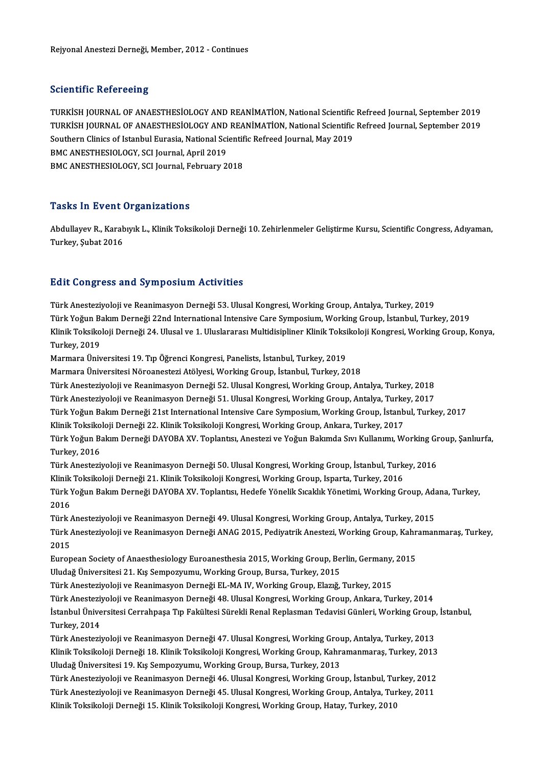## **Scientific Refereeing**

TURKİSHJOURNALOFANAESTHESİOLOGYANDREANİMATİON,NationalScientificRefreed Journal,September 2019 SSISMIMI I RISIS SOM:<br>TURKİSH JOURNAL OF ANAESTHESİOLOGY AND REANİMATİON, National Scientific Refreed Journal, September 2019<br>TURKİSH JOURNAL OF ANAESTHESİOLOGY AND REANİMATİON, National Scientific Refreed Journal, Septemb TURKİSH JOURNAL OF ANAESTHESİOLOGY AND REANİMATİON, National Scientific<br>TURKİSH JOURNAL OF ANAESTHESİOLOGY AND REANİMATİON, National Scientific<br>Southern Clinics of Istanbul Eurasia, National Scientific Refreed Journal, May TURKİSH JOURNAL OF ANAESTHESİOLOGY AND<br>Southern Clinics of Istanbul Eurasia, National Sci<br>BMC ANESTHESIOLOGY, SCI Journal, April 2019<br>BMC ANESTHESIOLOGY, SCI Journal, Eshruary 2 Southern Clinics of Istanbul Eurasia, National Scientific Refreed Journal, May 2019<br>BMC ANESTHESIOLOGY, SCI Journal, April 2019<br>BMC ANESTHESIOLOGY, SCI Journal, February 2018

## **Tasks In Event Organizations**

**Tasks In Event Organizations**<br>Abdullayev R., Karabıyık L., Klinik Toksikoloji Derneği 10. Zehirlenmeler Geliştirme Kursu, Scientific Congress, Adıyaman,<br>Turkay, Subet 2016 Turkey, Şubat<br>2016 - Abdullayev R., Karab<br>Turkey, Şubat 2016

## Turkey, Şubat 2016<br>Edit Congress and Symposium Activities

Türk Anesteziyoloji ve Reanimasyon Derneği 53. Ulusal Kongresi, Working Group, Antalya, Turkey, 2019 Türk Anesteziyoloji ve Reanimasyon Derneği 53, Ulusal Kongresi, Working Group, Antalya, Turkey, 2019<br>Türk Yoğun Bakım Derneği 22nd International Intensive Care Symposium, Working Group, İstanbul, Turkey, 2019<br>Klinik Teksik Türk Anesteziyoloji ve Reanimasyon Derneği 53. Ulusal Kongresi, Working Group, Antalya, Turkey, 2019<br>Türk Yoğun Bakım Derneği 22nd International Intensive Care Symposium, Working Group, İstanbul, Turkey, 2019<br>Klinik Toksik Türk Yoğun Ba<br>Klinik Toksiko<br>Turkey, 2019<br>Marmara Üniv Klinik Toksikoloji Derneği 24. Ulusal ve 1. Uluslararası Multidisipliner Klinik Toksikoloji Kongresi, Working Group, Konya,<br>Turkey, 2019<br>Marmara Üniversitesi 19. Tıp Öğrenci Kongresi, Panelists, İstanbul, Turkey, 2019 Marmara Üniversitesi Nöroanestezi Atölyesi, Working Group, İstanbul, Turkey, 2018 Marmara Üniversitesi 19. Tıp Öğrenci Kongresi, Panelists, İstanbul, Turkey, 2019<br>Marmara Üniversitesi Nöroanestezi Atölyesi, Working Group, İstanbul, Turkey, 2018<br>Türk Anesteziyoloji ve Reanimasyon Derneği 52. Ulusal Kongr Marmara Üniversitesi Nöroanestezi Atölyesi, Working Group, İstanbul, Turkey, 2018<br>Türk Anesteziyoloji ve Reanimasyon Derneği 52. Ulusal Kongresi, Working Group, Antalya, Turkey, 2018<br>Türk Anesteziyoloji ve Reanimasyon Dern Türk Anesteziyoloji ve Reanimasyon Derneği 51. Ulusal Kongresi, Working Group, Antalya, Turkey, 2017<br>Türk Yoğun Bakım Derneği 21st International Intensive Care Symposium, Working Group, İstanbul, Turkey, 2017 Türk Anesteziyoloji ve Reanimasyon Derneği 51. Ulusal Kongresi, Working Group, Antalya, Turke<br>Türk Yoğun Bakım Derneği 21st International Intensive Care Symposium, Working Group, İstanb<br>Klinik Toksikoloji Derneği 22. Klini Türk Yoğun Bakım Derneği 21st International Intensive Care Symposium, Working Group, İstanbul, Turkey, 2017<br>Klinik Toksikoloji Derneği 22. Klinik Toksikoloji Kongresi, Working Group, Ankara, Turkey, 2017<br>Türk Yoğun Bakım D Klinik Toksiko<br>Türk Yoğun Ba<br>Turkey, 2016<br>Türk Anastari Türk Yoğun Bakım Derneği DAYOBA XV. Toplantısı, Anestezi ve Yoğun Bakımda Sıvı Kullanımı, Working Gr<br>Türk Anesteziyoloji ve Reanimasyon Derneği 50. Ulusal Kongresi, Working Group, İstanbul, Turkey, 2016<br>Klinik Teksikoloji Turkey, 2016<br>Türk Anesteziyoloji ve Reanimasyon Derneği 50. Ulusal Kongresi, Working Group, İstanbul, Turkey, 2016<br>Klinik Toksikoloji Derneği 21. Klinik Toksikoloji Kongresi, Working Group, Isparta, Turkey, 2016 Türk Anesteziyoloji ve Reanimasyon Derneği 50. Ulusal Kongresi, Working Group, İstanbul, Turkey, 2016<br>Klinik Toksikoloji Derneği 21. Klinik Toksikoloji Kongresi, Working Group, Isparta, Turkey, 2016<br>Türk Yoğun Bakım Derneğ Klinik<br>Türk Y<br>2016<br>Türk Türk Yoğun Bakım Derneği DAYOBA XV. Toplantısı, Hedefe Yönelik Sıcaklık Yönetimi, Working Group, Ada<br>2016<br>Türk Anesteziyoloji ve Reanimasyon Derneği 49. Ulusal Kongresi, Working Group, Antalya, Turkey, 2015<br>Türk Anesteziyo 2016<br>Türk Anesteziyoloji ve Reanimasyon Derneği 49. Ulusal Kongresi, Working Group, Antalya, Turkey, 2015<br>Türk Anesteziyoloji ve Reanimasyon Derneği ANAG 2015, Pediyatrik Anestezi, Working Group, Kahramanmaraş, Turkey, Türk<br>1<br>2015<br>Euron Türk Anesteziyoloji ve Reanimasyon Derneği ANAG 2015, Pediyatrik Anestezi, Working Group, Kahr<br>2015<br>European Society of Anaesthesiology Euroanesthesia 2015, Working Group, Berlin, Germany, 2015<br>Uludeğ Üniversitesi 21, Kıs 2015<br>European Society of Anaesthesiology Euroanesthesia 2015, Working Group, Berlin, Germany<br>Uludağ Üniversitesi 21. Kış Sempozyumu, Working Group, Bursa, Turkey, 2015<br>Türk Anesteziyoloji ve Reanimasyon Derneği EL-MA IV, W European Society of Anaesthesiology Euroanesthesia 2015, Working Group, Berlin, Germany, 2015 Türk Anesteziyoloji ve Reanimasyon Derneği 48. Ulusal Kongresi, Working Group, Ankara, Turkey, 2014 Türk Anesteziyoloji ve Reanimasyon Derneği EL-MA IV, Working Group, Elazığ, Turkey, 2015<br>Türk Anesteziyoloji ve Reanimasyon Derneği 48. Ulusal Kongresi, Working Group, Ankara, Turkey, 2014<br>İstanbul Üniversitesi Cerrahpaşa Türk Anesteziy<br>İstanbul Ünive<br>Türkey, 2014 İstanbul Üniversitesi Cerrahpaşa Tıp Fakültesi Sürekli Renal Replasman Tedavisi Günleri, Working Group,<br>Türk Anesteziyoloji ve Reanimasyon Derneği 47. Ulusal Kongresi, Working Group, Antalya, Turkey, 2013<br>Klinik Teksikoloj Turkey, 2014<br>Türk Anesteziyoloji ve Reanimasyon Derneği 47. Ulusal Kongresi, Working Group, Antalya, Turkey, 2013<br>Klinik Toksikoloji Derneği 18. Klinik Toksikoloji Kongresi, Working Group, Kahramanmaraş, Turkey, 2013<br>Ulude Türk Anesteziyoloji ve Reanimasyon Derneği 47. Ulusal Kongresi, Working Grou<br>Klinik Toksikoloji Derneği 18. Klinik Toksikoloji Kongresi, Working Group, Kahr:<br>Uludağ Üniversitesi 19. Kış Sempozyumu, Working Group, Bursa, Tu Klinik Toksikoloji Derneği 18. Klinik Toksikoloji Kongresi, Working Group, Kahramanmaraş, Turkey, 2013<br>Uludağ Üniversitesi 19. Kış Sempozyumu, Working Group, Bursa, Turkey, 2013<br>Türk Anesteziyoloji ve Reanimasyon Derneği 4 Uludağ Üniversitesi 19. Kış Sempozyumu, Working Group, Bursa, Turkey, 2013<br>Türk Anesteziyoloji ve Reanimasyon Derneği 46. Ulusal Kongresi, Working Group, İstanbul, Turkey, 2012<br>Türk Anesteziyoloji ve Reanimasyon Derneği 45 Türk Anesteziyoloji ve Reanimasyon Derneği 46. Ulusal Kongresi, Working Group, İstanbul, Tu<br>Türk Anesteziyoloji ve Reanimasyon Derneği 45. Ulusal Kongresi, Working Group, Antalya, Tur<br>Klinik Toksikoloji Derneği 15. Klinik